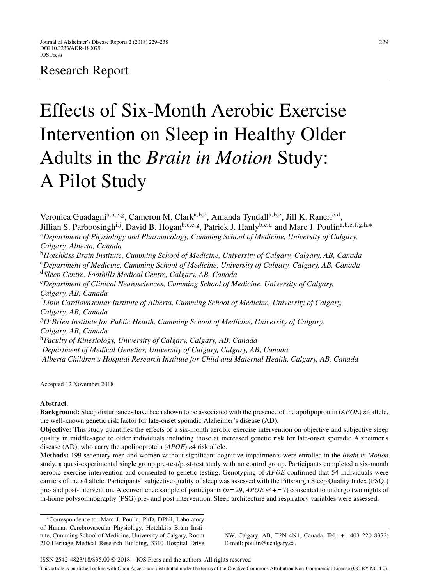# Research Report

# Effects of Six-Month Aerobic Exercise Intervention on Sleep in Healthy Older Adults in the *Brain in Motion* Study: A Pilot Study

Veronica Guadagni<sup>a, b, e, g</sup>, Cameron M. Clark<sup>a, b, e</sup>, Amanda Tyndall<sup>a, b, e</sup>, Jill K. Raneri<sup>c, d</sup>, Jillian S. Parboosingh<sup>i,j</sup>, David B. Hogan<sup>b,c,e,g</sup>, Patrick J. Hanly<sup>b,c,d</sup> and Marc J. Poulin<sup>a,b,e,f,g,h,\*</sup> <sup>a</sup>*Department of Physiology and Pharmacology, Cumming School of Medicine, University of Calgary, Calgary, Alberta, Canada* <sup>b</sup>*Hotchkiss Brain Institute, Cumming School of Medicine, University of Calgary, Calgary, AB, Canada* <sup>c</sup>*Department of Medicine, Cumming School of Medicine, University of Calgary, Calgary, AB, Canada* <sup>d</sup>*Sleep Centre, Foothills Medical Centre, Calgary, AB, Canada* <sup>e</sup>*Department of Clinical Neurosciences, Cumming School of Medicine, University of Calgary, Calgary, AB, Canada* <sup>f</sup>*Libin Cardiovascular Institute of Alberta, Cumming School of Medicine, University of Calgary, Calgary, AB, Canada* <sup>g</sup>*O'Brien Institute for Public Health, Cumming School of Medicine, University of Calgary, Calgary, AB, Canada* <sup>h</sup>*Faculty of Kinesiology, University of Calgary, Calgary, AB, Canada* i *Department of Medical Genetics, University of Calgary, Calgary, AB, Canada* j *Alberta Children's Hospital Research Institute for Child and Maternal Health, Calgary, AB, Canada*

Accepted 12 November 2018

# **Abstract**.

Background: Sleep disturbances have been shown to be associated with the presence of the apolipoprotein (*APOE*)  $\varepsilon$ 4 allele, the well-known genetic risk factor for late-onset sporadic Alzheimer's disease (AD).

**Objective:** This study quantifies the effects of a six-month aerobic exercise intervention on objective and subjective sleep quality in middle-aged to older individuals including those at increased genetic risk for late-onset sporadic Alzheimer's disease (AD), who carry the apolipoprotein (*APOE*)  $\varepsilon$ 4 risk allele.

**Methods:** 199 sedentary men and women without significant cognitive impairments were enrolled in the *Brain in Motion* study, a quasi-experimental single group pre-test/post-test study with no control group. Participants completed a six-month aerobic exercise intervention and consented to genetic testing. Genotyping of *APOE* confirmed that 54 individuals were carriers of the  $\varepsilon$ 4 allele. Participants' subjective quality of sleep was assessed with the Pittsburgh Sleep Quality Index (PSQI) pre- and post-intervention. A convenience sample of participants ( $n = 29$ , *APOE*  $\varepsilon 4$ +=7) consented to undergo two nights of in-home polysomnography (PSG) pre- and post intervention. Sleep architecture and respiratory variables were assessed.

∗Correspondence to: Marc J. Poulin, PhD, DPhil, Laboratory of Human Cerebrovascular Physiology, Hotchkiss Brain Institute, Cumming School of Medicine, University of Calgary, Room 210-Heritage Medical Research Building, 3310 Hospital Drive

NW, Calgary, AB, T2N 4N1, Canada. Tel.: +1 403 220 8372; E-mail: [poulin@ucalgary.ca](mailto:poulin@ucalgary.ca).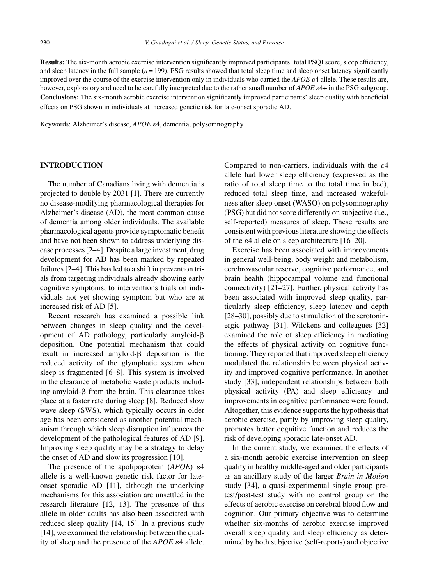**Results:** The six-month aerobic exercise intervention significantly improved participants' total PSQI score, sleep efficiency, and sleep latency in the full sample  $(n = 199)$ . PSG results showed that total sleep time and sleep onset latency significantly improved over the course of the exercise intervention only in individuals who carried the  $APOE$   $\varepsilon$ 4 allele. These results are, however, exploratory and need to be carefully interpreted due to the rather small number of *APOE*  $\varepsilon$ 4+ in the PSG subgroup. **Conclusions:** The six-month aerobic exercise intervention significantly improved participants' sleep quality with beneficial effects on PSG shown in individuals at increased genetic risk for late-onset sporadic AD.

Keywords: Alzheimer's disease, APOE  $\varepsilon$ 4, dementia, polysomnography

#### **INTRODUCTION**

The number of Canadians living with dementia is projected to double by 2031 [1]. There are currently no disease-modifying pharmacological therapies for Alzheimer's disease (AD), the most common cause of dementia among older individuals. The available pharmacological agents provide symptomatic benefit and have not been shown to address underlying disease processes [2–4]. Despite a large investment, drug development for AD has been marked by repeated failures [2–4]. This has led to a shift in prevention trials from targeting individuals already showing early cognitive symptoms, to interventions trials on individuals not yet showing symptom but who are at increased risk of AD [5].

Recent research has examined a possible link between changes in sleep quality and the development of AD pathology, particularly amyloid deposition. One potential mechanism that could result in increased amyloid- $\beta$  deposition is the reduced activity of the glymphatic system when sleep is fragmented [6–8]. This system is involved in the clearance of metabolic waste products including amyloid- $\beta$  from the brain. This clearance takes place at a faster rate during sleep [8]. Reduced slow wave sleep (SWS), which typically occurs in older age has been considered as another potential mechanism through which sleep disruption influences the development of the pathological features of AD [9]. Improving sleep quality may be a strategy to delay the onset of AD and slow its progression [10].

The presence of the apolipoprotein  $(APOE)$   $\varepsilon$ 4 allele is a well-known genetic risk factor for lateonset sporadic AD [11], although the underlying mechanisms for this association are unsettled in the research literature [12, 13]. The presence of this allele in older adults has also been associated with reduced sleep quality [14, 15]. In a previous study [14], we examined the relationship between the quality of sleep and the presence of the  $APOE$   $\varepsilon$ 4 allele.

Compared to non-carriers, individuals with the  $\varepsilon$ 4 allele had lower sleep efficiency (expressed as the ratio of total sleep time to the total time in bed), reduced total sleep time, and increased wakefulness after sleep onset (WASO) on polysomnography (PSG) but did not score differently on subjective (i.e., self-reported) measures of sleep. These results are consistent with previous literature showing the effects of the  $\varepsilon$ 4 allele on sleep architecture [16–20].

Exercise has been associated with improvements in general well-being, body weight and metabolism, cerebrovascular reserve, cognitive performance, and brain health (hippocampal volume and functional connectivity) [21–27]. Further, physical activity has been associated with improved sleep quality, particularly sleep efficiency, sleep latency and depth [28–30], possibly due to stimulation of the serotoninergic pathway [31]. Wilckens and colleagues [32] examined the role of sleep efficiency in mediating the effects of physical activity on cognitive functioning. They reported that improved sleep efficiency modulated the relationship between physical activity and improved cognitive performance. In another study [33], independent relationships between both physical activity (PA) and sleep efficiency and improvements in cognitive performance were found. Altogether, this evidence supports the hypothesis that aerobic exercise, partly by improving sleep quality, promotes better cognitive function and reduces the risk of developing sporadic late-onset AD.

In the current study, we examined the effects of a six-month aerobic exercise intervention on sleep quality in healthy middle-aged and older participants as an ancillary study of the larger *Brain in Motion* study [34], a quasi-experimental single group pretest/post-test study with no control group on the effects of aerobic exercise on cerebral blood flow and cognition. Our primary objective was to determine whether six-months of aerobic exercise improved overall sleep quality and sleep efficiency as determined by both subjective (self-reports) and objective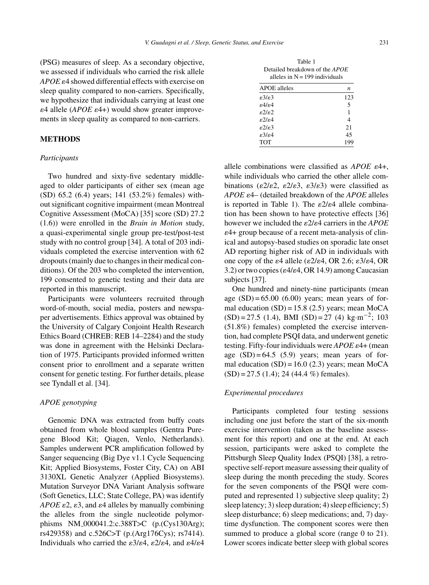(PSG) measures of sleep. As a secondary objective, we assessed if individuals who carried the risk allele *APOE*  $\varepsilon$ 4 showed differential effects with exercise on sleep quality compared to non-carriers. Specifically, we hypothesize that individuals carrying at least one  $\varepsilon$ 4 allele (*APOE*  $\varepsilon$ 4+) would show greater improvements in sleep quality as compared to non-carriers.

# **METHODS**

# *Participants*

Two hundred and sixty-five sedentary middleaged to older participants of either sex (mean age (SD) 65.2 (6.4) years; 141 (53.2%) females) without significant cognitive impairment (mean Montreal Cognitive Assessment (MoCA) [35] score (SD) 27.2 (1.6)) were enrolled in the *Brain in Motion* study, a quasi-experimental single group pre-test/post-test study with no control group [34]. A total of 203 individuals completed the exercise intervention with 62 dropouts (mainly due to changes in their medical conditions). Of the 203 who completed the intervention, 199 consented to genetic testing and their data are reported in this manuscript.

Participants were volunteers recruited through word-of-mouth, social media, posters and newspaper advertisements. Ethics approval was obtained by the University of Calgary Conjoint Health Research Ethics Board (CHREB: REB 14–2284) and the study was done in agreement with the Helsinki Declaration of 1975. Participants provided informed written consent prior to enrollment and a separate written consent for genetic testing. For further details, please see Tyndall et al. [34].

### *APOE genotyping*

Genomic DNA was extracted from buffy coats obtained from whole blood samples (Gentra Puregene Blood Kit; Qiagen, Venlo, Netherlands). Samples underwent PCR amplification followed by Sanger sequencing (Big Dye v1.1 Cycle Sequencing Kit; Applied Biosystems, Foster City, CA) on ABI 3130XL Genetic Analyzer (Applied Biosystems). Mutation Surveyor DNA Variant Analysis software (Soft Genetics, LLC; State College, PA) was identify  $APOE \varepsilon$ 2,  $\varepsilon$ 3, and  $\varepsilon$ 4 alleles by manually combining the alleles from the single nucleotide polymorphisms NM 000041.2:c.388T>C (p.(Cys130Arg); rs429358) and c.526C>T (p.(Arg176Cys); rs7414). Individuals who carried the  $\varepsilon 3/\varepsilon 4$ ,  $\varepsilon 2/\varepsilon 4$ , and  $\varepsilon 4/\varepsilon 4$ 

| Detailed breakdown of the APOE<br>alleles in $N = 199$ individuals |     |  |
|--------------------------------------------------------------------|-----|--|
| <b>APOE</b> alleles                                                | п   |  |
| 83/83                                                              | 123 |  |
| 44/44ء                                                             | 5   |  |
| 52/52                                                              | 1   |  |
| $\epsilon$ 2/ $\epsilon$ 4                                         |     |  |
| $\epsilon$ <sup>2/<math>\epsilon</math>3</sup>                     | 21  |  |

 $4<sup>4</sup>$ TOT 199

 $\varepsilon$ 3/ $\varepsilon$ 

Table 1

allele combinations were classified as  $APOE$   $\varepsilon$ 4+, while individuals who carried the other allele combinations ( $\epsilon$ 2/ $\epsilon$ 2,  $\epsilon$ 2/ $\epsilon$ 3,  $\epsilon$ 3/ $\epsilon$ 3) were classified as APOE ε4– (detailed breakdown of the *APOE* alleles is reported in Table 1). The  $\varepsilon 2/\varepsilon 4$  allele combination has been shown to have protective effects [36] however we included the  $\varepsilon$ 2/ $\varepsilon$ 4 carriers in the *APOE*  $\varepsilon$ 4+ group because of a recent meta-analysis of clinical and autopsy-based studies on sporadic late onset AD reporting higher risk of AD in individuals with one copy of the  $\varepsilon$ 4 allele ( $\varepsilon$ 2/ $\varepsilon$ 4, OR 2.6;  $\varepsilon$ 3/ $\varepsilon$ 4, OR 3.2) or two copies ( $\varepsilon$ 4/ $\varepsilon$ 4, OR 14.9) among Caucasian subjects [37].

One hundred and ninety-nine participants (mean age  $(SD) = 65.00$   $(6.00)$  years; mean years of formal education  $(SD) = 15.8$  (2.5) years; mean MoCA  $(SD) = 27.5$  (1.4), BMI  $(SD) = 27$  (4) kg⋅m<sup>-2</sup>; 103 (51.8%) females) completed the exercise intervention, had complete PSQI data, and underwent genetic testing. Fifty-four individuals were *APOE*  $\varepsilon$ 4+ (mean age  $(SD) = 64.5$  (5.9) years; mean years of formal education  $(SD) = 16.0$  (2.3) years; mean MoCA  $(SD) = 27.5$  (1.4); 24 (44.4 %) females).

## *Experimental procedures*

Participants completed four testing sessions including one just before the start of the six-month exercise intervention (taken as the baseline assessment for this report) and one at the end. At each session, participants were asked to complete the Pittsburgh Sleep Quality Index (PSQI) [38], a retrospective self-report measure assessing their quality of sleep during the month preceding the study. Scores for the seven components of the PSQI were computed and represented 1) subjective sleep quality; 2) sleep latency; 3) sleep duration; 4) sleep efficiency; 5) sleep disturbance; 6) sleep medications; and, 7) daytime dysfunction. The component scores were then summed to produce a global score (range 0 to 21). Lower scores indicate better sleep with global scores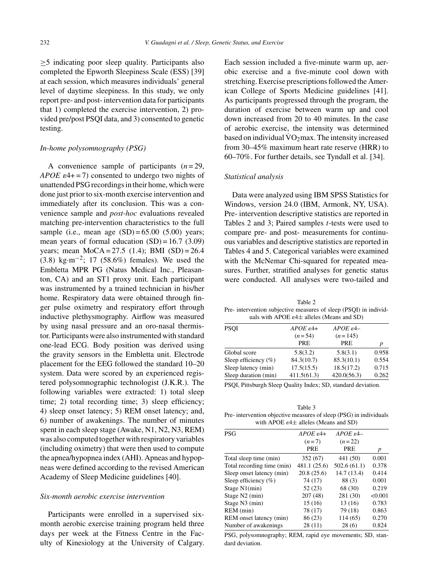≥5 indicating poor sleep quality. Participants also completed the Epworth Sleepiness Scale (ESS) [39] at each session, which measures individuals' general level of daytime sleepiness. In this study, we only report pre- and post- intervention data for participants that 1) completed the exercise intervention, 2) provided pre/post PSQI data, and 3) consented to genetic testing.

#### *In-home polysomnography (PSG)*

A convenience sample of participants  $(n=29)$ , *APOE*  $\varepsilon$ 4+=7) consented to undergo two nights of unattended PSG recordings in their home, which were done just prior to six-month exercise intervention and immediately after its conclusion. This was a convenience sample and *post-hoc* evaluations revealed matching pre-intervention characteristics to the full sample (i.e., mean age  $(SD) = 65.00$  (5.00) years; mean years of formal education  $(SD) = 16.7$  (3.09) years; mean MoCA = 27.5 (1.4); BMI (SD) = 26.4 (3.8) kg·m−2; 17 (58.6%) females). We used the Embletta MPR PG (Natus Medical Inc., Pleasanton, CA) and an ST1 proxy unit. Each participant was instrumented by a trained technician in his/her home. Respiratory data were obtained through finger pulse oximetry and respiratory effort through inductive plethysmography. Airflow was measured by using nasal pressure and an oro-nasal thermistor. Participants were also instrumented with standard one-lead ECG. Body position was derived using the gravity sensors in the Embletta unit. Electrode placement for the EEG followed the standard 10–20 system. Data were scored by an experienced registered polysomnographic technologist (J.K.R.). The following variables were extracted: 1) total sleep time; 2) total recording time; 3) sleep efficiency; 4) sleep onset latency; 5) REM onset latency; and, 6) number of awakenings. The number of minutes spent in each sleep stage (Awake, N1, N2, N3, REM) was also computed together with respiratory variables (including oximetry) that were then used to compute the apnea/hypopnea index (AHI). Apneas and hypopneas were defined according to the revised American Academy of Sleep Medicine guidelines [40].

# *Six-month aerobic exercise intervention*

Participants were enrolled in a supervised sixmonth aerobic exercise training program held three days per week at the Fitness Centre in the Faculty of Kinesiology at the University of Calgary. Each session included a five-minute warm up, aerobic exercise and a five-minute cool down with stretching. Exercise prescriptions followed the American College of Sports Medicine guidelines [41]. As participants progressed through the program, the duration of exercise between warm up and cool down increased from 20 to 40 minutes. In the case of aerobic exercise, the intensity was determined based on individual  $\dot{V}O_2$  max. The intensity increased from 30–45% maximum heart rate reserve (HRR) to 60–70%. For further details, see Tyndall et al. [34].

# *Statistical analysis*

Data were analyzed using IBM SPSS Statistics for Windows, version 24.0 (IBM, Armonk, NY, USA). Pre- intervention descriptive statistics are reported in Tables 2 and 3; Paired samples t-tests were used to compare pre- and post- measurements for continuous variables and descriptive statistics are reported in Tables 4 and 5. Categorical variables were examined with the McNemar Chi-squared for repeated measures. Further, stratified analyses for genetic status were conducted. All analyses were two-tailed and

Table 2 Pre- intervention subjective measures of sleep (PSQI) in individuals with APOE  $\varepsilon$ 4 $\pm$  alleles (Means and SD)

| <b>PSOI</b>              | $APOE \epsilon 4+$ | $APOE \epsilon 4-$ |       |
|--------------------------|--------------------|--------------------|-------|
|                          | $(n=54)$           | $(n=145)$          |       |
|                          | <b>PRE</b>         | <b>PRE</b>         | p     |
| Global score             | 5.8(3.2)           | 5.8(3.1)           | 0.958 |
| Sleep efficiency $(\% )$ | 84.3(10.7)         | 85.3(10.1)         | 0.554 |
| Sleep latency (min)      | 17.5(15.5)         | 18.5(17.2)         | 0.715 |
| Sleep duration (min)     | 411.5(61.3)        | 420.0(56.3)        | 0.262 |
|                          |                    |                    |       |

PSQI, Pittsburgh Sleep Quality Index; SD, standard deviation.

Table 3 Pre- intervention objective measures of sleep (PSG) in individuals with APOE  $\varepsilon$ 4 $\pm$  alleles (Means and SD)

| <b>PSG</b>                 | $APOE \epsilon 4+$ | $APOE$ $\varepsilon$ 4- |         |
|----------------------------|--------------------|-------------------------|---------|
|                            | $(n=7)$            | $(n=22)$                |         |
|                            | <b>PRE</b>         | <b>PRE</b>              | p       |
| Total sleep time (min)     | 352 (67)           | 441 (50)                | 0.001   |
| Total recording time (min) | 481.1 (25.6)       | 502.6(61.1)             | 0.378   |
| Sleep onset latency (min)  | 20.8(25.6)         | 14.7 (13.4)             | 0.414   |
| Sleep efficiency $(\%)$    | 74 (17)            | 88(3)                   | 0.001   |
| Stage $N1(min)$            | 52(23)             | 68 (30)                 | 0.219   |
| Stage N2 (min)             | 207(48)            | 281 (30)                | < 0.001 |
| Stage N3 (min)             | 15(16)             | 13(16)                  | 0.783   |
| REM (min)                  | 78 (17)            | 79 (18)                 | 0.863   |
| REM onset latency (min)    | 86 (23)            | 114 (65)                | 0.270   |
| Number of awakenings       | 28(11)             | 28(6)                   | 0.824   |
|                            |                    |                         |         |

PSG, polysomnography; REM, rapid eye movements; SD, standard deviation.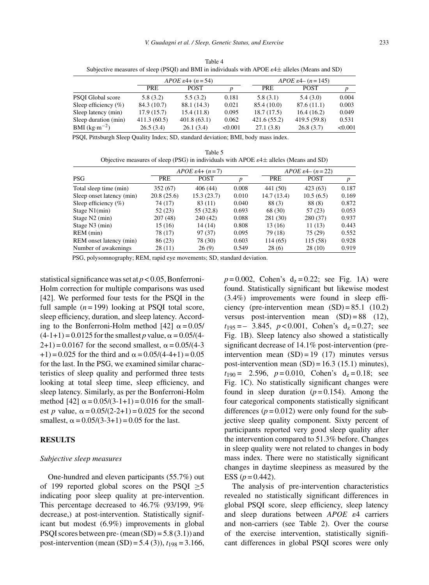#### *V. Guadagni et al. / Sleep, Genetic Status, and Exercise* 233

| Subjective measures of sleep (PSQI) and BMI in individuals with APOE $\varepsilon$ 4 $\pm$ alleles (Means and SD) |                              |             |         |                               |              |         |
|-------------------------------------------------------------------------------------------------------------------|------------------------------|-------------|---------|-------------------------------|--------------|---------|
|                                                                                                                   | $APOE \epsilon 4 + (n = 54)$ |             |         | $APOE \epsilon 4 - (n = 145)$ |              |         |
|                                                                                                                   | <b>PRE</b>                   | <b>POST</b> | Ď       | <b>PRE</b>                    | <b>POST</b>  |         |
| PSOI Global score                                                                                                 | 5.8(3.2)                     | 5.5(3.2)    | 0.181   | 5.8(3.1)                      | 5.4(3.0)     | 0.004   |
| Sleep efficiency $(\% )$                                                                                          | 84.3 (10.7)                  | 88.1 (14.3) | 0.021   | 85.4 (10.0)                   | 87.6(11.1)   | 0.003   |
| Sleep latency (min)                                                                                               | 17.9(15.7)                   | 15.4 (11.8) | 0.095   | 18.7(17.5)                    | 16.4(16.2)   | 0.049   |
| Sleep duration (min)                                                                                              | 411.3(60.5)                  | 401.8(63.1) | 0.062   | 421.6(55.2)                   | 419.5 (59.8) | 0.531   |
| BMI $(kg·m-2)$                                                                                                    | 26.5(3.4)                    | 26.1(3.4)   | < 0.001 | 27.1(3.8)                     | 26.8(3.7)    | < 0.001 |

Table 4 Subjective measures of sleep (PSQI) and BMI in individuals with APOE  $\varepsilon$ 

PSQI, Pittsburgh Sleep Quality Index; SD, standard deviation; BMI, body mass index.

| Table 5                                                                                                 |
|---------------------------------------------------------------------------------------------------------|
| Objective measures of sleep (PSG) in individuals with APOE $\varepsilon$ 4 $\pm$ alleles (Means and SD) |

|                           | $APOE \epsilon 4 + (n=7)$ |             |       | APOE $\varepsilon$ 4- $(n=22)$ |             |       |
|---------------------------|---------------------------|-------------|-------|--------------------------------|-------------|-------|
| <b>PSG</b>                | PRE                       | <b>POST</b> | D     | PRE                            | <b>POST</b> | p     |
| Total sleep time (min)    | 352 (67)                  | 406(44)     | 0.008 | 441 (50)                       | 423 (63)    | 0.187 |
| Sleep onset latency (min) | 20.8(25.6)                | 15.3 (23.7) | 0.010 | 14.7 (13.4)                    | 10.5(6.5)   | 0.169 |
| Sleep efficiency $(\% )$  | 74 (17)                   | 83 (11)     | 0.040 | 88(3)                          | 88(8)       | 0.872 |
| Stage $N1(min)$           | 52(23)                    | 55 (32.8)   | 0.693 | 68 (30)                        | 57(23)      | 0.053 |
| Stage $N2$ (min)          | 207(48)                   | 240 (42)    | 0.088 | 281 (30)                       | 280 (37)    | 0.937 |
| Stage N3 (min)            | 15(16)                    | 14(14)      | 0.808 | 13(16)                         | 11(13)      | 0.443 |
| REM (min)                 | 78 (17)                   | 97 (37)     | 0.095 | 79 (18)                        | 75 (29)     | 0.552 |
| REM onset latency (min)   | 86(23)                    | 78 (30)     | 0.603 | 114(65)                        | 115 (58)    | 0.928 |
| Number of awakenings      | 28(11)                    | 26(9)       | 0.549 | 28(6)                          | 28(10)      | 0.919 |

PSG, polysomnography; REM, rapid eye movements; SD, standard deviation.

statistical significance was set at  $p < 0.05$ , Bonferroni-Holm correction for multiple comparisons was used [42]. We performed four tests for the PSQI in the full sample  $(n = 199)$  looking at PSQI total score, sleep efficiency, duration, and sleep latency. According to the Bonferroni-Holm method [42]  $\alpha = 0.05/$  $(4-1+1) = 0.0125$  for the smallest *p* value,  $\alpha = 0.05/(4-1)$  $2+1$ ) = 0.0167 for the second smallest,  $\alpha$  = 0.05/(4-3)  $+1$ ) = 0.025 for the third and  $\alpha$  = 0.05/(4-4+1) = 0.05 for the last. In the PSG, we examined similar characteristics of sleep quality and performed three tests looking at total sleep time, sleep efficiency, and sleep latency. Similarly, as per the Bonferroni-Holm method [42]  $\alpha = 0.05/(3-1+1) = 0.016$  for the smallest *p* value,  $\alpha = 0.05/(2-2+1) = 0.025$  for the second smallest,  $\alpha = 0.05/(3-3+1) = 0.05$  for the last.

# **RESULTS**

### *Subjective sleep measures*

One-hundred and eleven participants (55.7%) out of 199 reported global scores on the PSQI  $\geq$ 5 indicating poor sleep quality at pre-intervention. This percentage decreased to 46.7% (93/199, 9% decrease,) at post-intervention. Statistically significant but modest (6.9%) improvements in global PSQI scores between pre- (mean  $(SD) = 5.8(3.1)$ ) and post-intervention (mean (SD) = 5.4 (3)), *t*<sup>198</sup> = 3.166,

 $p = 0.002$ , Cohen's  $d_z = 0.22$ ; see Fig. 1A) were found. Statistically significant but likewise modest (3.4%) improvements were found in sleep efficiency (pre-intervention mean  $(SD) = 85.1$  (10.2) versus post-intervention mean  $(SD) = 88$  (12),  $t_{195} = -3.845$ ,  $p < 0.001$ , Cohen's  $d_z = 0.27$ ; see Fig. 1B). Sleep latency also showed a statistically significant decrease of 14.1% post-intervention (preintervention mean  $(SD) = 19$  (17) minutes versus post-intervention mean  $(SD) = 16.3$  (15.1) minutes),  $t_{190} = 2.596, p = 0.010, Cohen's d<sub>z</sub> = 0.18; see$ Fig. 1C). No statistically significant changes were found in sleep duration  $(p=0.154)$ . Among the four categorical components statistically significant differences  $(p=0.012)$  were only found for the subjective sleep quality component. Sixty percent of participants reported very good sleep quality after the intervention compared to 51.3% before. Changes in sleep quality were not related to changes in body mass index. There were no statistically significant changes in daytime sleepiness as measured by the ESS  $(p = 0.442)$ .

The analysis of pre-intervention characteristics revealed no statistically significant differences in global PSQI score, sleep efficiency, sleep latency and sleep durations between *APOE*  $\varepsilon$ 4 carriers and non-carriers (see Table 2). Over the course of the exercise intervention, statistically significant differences in global PSQI scores were only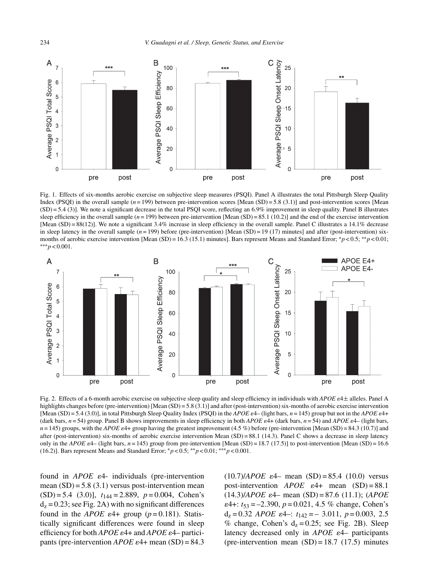

Fig. 1. Effects of six-months aerobic exercise on subjective sleep measures (PSQI). Panel A illustrates the total Pittsburgh Sleep Quality Index (PSQI) in the overall sample (*n* = 199) between pre-intervention scores [Mean (SD) = 5.8 (3.1)] and post-intervention scores [Mean (SD) = 5.4 (3)]. We note a significant decrease in the total PSQI score, reflecting an 6.9% improvement in sleep quality. Panel B illustrates sleep efficiency in the overall sample  $(n = 199)$  between pre-intervention [Mean (SD) = 85.1 (10.2)] and the end of the exercise intervention [Mean (SD) = 88(12)]. We note a significant 3.4% increase in sleep efficiency in the overall sample. Panel C illustrates a 14.1% decrease in sleep latency in the overall sample (*n* = 199) before (pre-intervention) [Mean (SD) = 19 (17) minutes] and after (post-intervention) sixmonths of aerobic exercise intervention [Mean (SD) = 16.3 (15.1) minutes]. Bars represent Means and Standard Error; ∗*p* < 0.5; ∗∗*p* < 0.01; ∗∗∗*p* < 0.001.



Fig. 2. Effects of a 6-month aerobic exercise on subjective sleep quality and sleep efficiency in individuals with *APOE*  $\varepsilon$ 4± alleles. Panel A highlights changes before (pre-intervention) [Mean (SD) = 5.8 (3.1)] and after (post-intervention) six-months of aerobic exercise intervention [Mean (SD) = 5.4 (3.0)], in total Pittsburgh Sleep Quality Index (PSQI) in the *APOE*  $\varepsilon$ 4- (light bars,  $n = 145$ ) group but not in the *APOE*  $\varepsilon$ 4+ (dark bars,  $n = 54$ ) group. Panel B shows improvements in sleep efficiency in both *APOE*  $\varepsilon$ 4+ (dark bars,  $n = 54$ ) and *APOE*  $\varepsilon$ 4- (light bars,  $n = 145$ ) groups, with the *APOE*  $\varepsilon$ 4+ group having the greatest improvement (4.5 %) before (pre-intervention [Mean (SD) = 84.3 (10.7)] and after (post-intervention) six-months of aerobic exercise intervention Mean (SD) = 88.1 (14.3). Panel C shows a decrease in sleep latency only in the *APOE*  $\varepsilon$ 4– (light bars, *n* = 145) group from pre-intervention [Mean (SD) = 18.7 (17.5)] to post-intervention [Mean (SD) = 16.6 (16.2)]. Bars represent Means and Standard Error;  ${}^*p < 0.5$ ;  ${}^{**}p < 0.01$ ;  ${}^{***}p < 0.001$ .

found in  $APOE$   $\varepsilon$ 4- individuals (pre-intervention mean  $(SD) = 5.8$  (3.1) versus post-intervention mean (SD) = 5.4 (3.0)], *t*<sup>144</sup> = 2.889, *p* = 0.004, Cohen's  $d<sub>z</sub> = 0.23$ ; see Fig. 2A) with no significant differences found in the *APOE*  $\varepsilon$ 4+ group ( $p$  = 0.181). Statistically significant differences were found in sleep efficiency for both  $APOE \varepsilon_4$  and  $APOE \varepsilon_4$  - participants (pre-intervention *APOE*  $\varepsilon$ 4+ mean (SD) = 84.3

 $(10.7)/APOE$   $\varepsilon$ 4 - mean  $(SD) = 85.4$   $(10.0)$  versus post-intervention  $APOE$   $\varepsilon$ 4+ mean  $(SD) = 88.1$  $(14.3)/APOE$   $\varepsilon$ 4 - mean  $(SD) = 87.6$   $(11.1)$ ;  $(APOE$ -4+: *t*<sup>53</sup> = –2.390, *p* = 0.021, 4.5 % change, Cohen's  $d_z = 0.32$  *APOE*  $\varepsilon$ 4 -:  $t_{142} = -3.011$ ,  $p = 0.003$ , 2.5 % change, Cohen's  $d_z = 0.25$ ; see Fig. 2B). Sleep latency decreased only in *APOE*  $\varepsilon$ 4- participants (pre-intervention mean  $(SD) = 18.7$  (17.5) minutes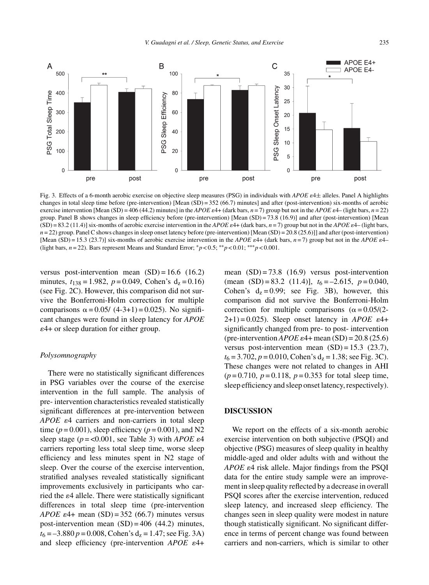

Fig. 3. Effects of a 6-month aerobic exercise on objective sleep measures (PSG) in individuals with *APOE*  $\varepsilon$ 4 $\pm$  alleles. Panel A highlights changes in total sleep time before (pre-intervention) [Mean (SD) = 352 (66.7) minutes] and after (post-intervention) six-months of aerobic exercise intervention [Mean (SD) = 406 (44.2) minutes] in the *APOE*  $\varepsilon$ 4+ (dark bars,  $n = 7$ ) group but not in the *APOE*  $\varepsilon$ 4- (light bars,  $n = 22$ ) group. Panel B shows changes in sleep efficiency before (pre-intervention) [Mean (SD) = 73.8 (16.9)] and after (post-intervention) [Mean  $(SD) = 83.2 (11.4)$ ] six-months of aerobic exercise intervention in the *APOE*  $\varepsilon$ 4+ (dark bars, *n* = 7) group but not in the *APOE*  $\varepsilon$ 4– (light bars, *n* = 22) group. Panel C shows changes in sleep onset latency before (pre-intervention) [Mean (SD) = 20.8 (25.6)]] and after (post-intervention) [Mean (SD) = 15.3 (23.7)] six-months of aerobic exercise intervention in the *APOE*  $\varepsilon$ 4+ (dark bars, *n* = 7) group but not in the *APOE*  $\varepsilon$ 4-(light bars,  $n = 22$ ). Bars represent Means and Standard Error; \* $p < 0.5$ ; \*\* $p < 0.01$ ; \*\*\* $p < 0.001$ .

versus post-intervention mean  $(SD) = 16.6$  (16.2) minutes,  $t_{138} = 1.982$ ,  $p = 0.049$ , Cohen's  $d_z = 0.16$ ) (see Fig. 2C). However, this comparison did not survive the Bonferroni-Holm correction for multiple comparisons  $\alpha = 0.05/ (4-3+1) = 0.025$ ). No significant changes were found in sleep latency for *APOE*  $\varepsilon$ 4+ or sleep duration for either group.

## *Polysomnography*

There were no statistically significant differences in PSG variables over the course of the exercise intervention in the full sample. The analysis of pre- intervention characteristics revealed statistically significant differences at pre-intervention between APOE  $\varepsilon$ 4 carriers and non-carriers in total sleep time ( $p = 0.001$ ), sleep efficiency ( $p = 0.001$ ), and N2 sleep stage ( $p = < 0.001$ , see Table 3) with *APOE*  $\varepsilon$ 4 carriers reporting less total sleep time, worse sleep efficiency and less minutes spent in N2 stage of sleep. Over the course of the exercise intervention, stratified analyses revealed statistically significant improvements exclusively in participants who carried the  $\varepsilon$ 4 allele. There were statistically significant differences in total sleep time (pre-intervention *APOE*  $\varepsilon$ 4+ mean (SD) = 352 (66.7) minutes versus post-intervention mean  $(SD) = 406$  (44.2) minutes,  $t_6 = -3.880 p = 0.008$ , Cohen's d<sub>z</sub> = 1.47; see Fig. 3A) and sleep efficiency (pre-intervention *APOE*  $\varepsilon$ 4+

mean  $(SD) = 73.8$  (16.9) versus post-intervention (mean (SD) = 83.2 (11.4)],  $t_6 = -2.615$ ,  $p = 0.040$ , Cohen's  $d_z = 0.99$ ; see Fig. 3B), however, this comparison did not survive the Bonferroni-Holm correction for multiple comparisons  $(\alpha = 0.05/(2$ - $(2+1) = 0.025$ . Sleep onset latency in *APOE*  $\varepsilon$ 4+ significantly changed from pre- to post- intervention  $(\text{pre-intervention} \, APOE \, \varepsilon4 + \text{mean} \, (\text{SD}) = 20.8 \, (25.6)$ versus post-intervention mean  $(SD) = 15.3$  (23.7),  $t_6 = 3.702$ ,  $p = 0.010$ , Cohen's  $d_z = 1.38$ ; see Fig. 3C). These changes were not related to changes in AHI (*p* = 0.710, *p* = 0.118, *p* = 0.353 for total sleep time, sleep efficiency and sleep onset latency, respectively).

## **DISCUSSION**

We report on the effects of a six-month aerobic exercise intervention on both subjective (PSQI) and objective (PSG) measures of sleep quality in healthy middle-aged and older adults with and without the APOE  $\varepsilon$ 4 risk allele. Major findings from the PSQI data for the entire study sample were an improvement in sleep quality reflected by a decrease in overall PSQI scores after the exercise intervention, reduced sleep latency, and increased sleep efficiency. The changes seen in sleep quality were modest in nature though statistically significant. No significant difference in terms of percent change was found between carriers and non-carriers, which is similar to other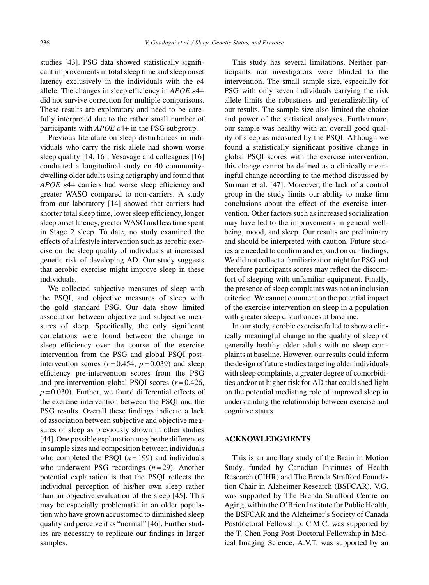studies [43]. PSG data showed statistically significant improvements in total sleep time and sleep onset latency exclusively in the individuals with the  $\varepsilon$ 4 allele. The changes in sleep efficiency in  $APOE$   $\varepsilon$ 4+ did not survive correction for multiple comparisons. These results are exploratory and need to be carefully interpreted due to the rather small number of participants with  $APOE$   $\varepsilon$ 4+ in the PSG subgroup.

Previous literature on sleep disturbances in individuals who carry the risk allele had shown worse sleep quality [14, 16]. Yesavage and colleagues [16] conducted a longitudinal study on 40 communitydwelling older adults using actigraphy and found that APOE  $\varepsilon$ 4+ carriers had worse sleep efficiency and greater WASO compared to non-carriers. A study from our laboratory [14] showed that carriers had shorter total sleep time, lower sleep efficiency, longer sleep onset latency, greater WASO and less time spent in Stage 2 sleep. To date, no study examined the effects of a lifestyle intervention such as aerobic exercise on the sleep quality of individuals at increased genetic risk of developing AD. Our study suggests that aerobic exercise might improve sleep in these individuals.

We collected subjective measures of sleep with the PSQI, and objective measures of sleep with the gold standard PSG. Our data show limited association between objective and subjective measures of sleep. Specifically, the only significant correlations were found between the change in sleep efficiency over the course of the exercise intervention from the PSG and global PSQI postintervention scores  $(r=0.454, p=0.039)$  and sleep efficiency pre-intervention scores from the PSG and pre-intervention global PSQI scores  $(r=0.426,$  $p = 0.030$ ). Further, we found differential effects of the exercise intervention between the PSQI and the PSG results. Overall these findings indicate a lack of association between subjective and objective measures of sleep as previously shown in other studies [44]. One possible explanation may be the differences in sample sizes and composition between individuals who completed the PSQI  $(n = 199)$  and individuals who underwent PSG recordings (*n* = 29). Another potential explanation is that the PSQI reflects the individual perception of his/her own sleep rather than an objective evaluation of the sleep [45]. This may be especially problematic in an older population who have grown accustomed to diminished sleep quality and perceive it as "normal" [46]. Further studies are necessary to replicate our findings in larger samples.

This study has several limitations. Neither participants nor investigators were blinded to the intervention. The small sample size, especially for PSG with only seven individuals carrying the risk allele limits the robustness and generalizability of our results. The sample size also limited the choice and power of the statistical analyses. Furthermore, our sample was healthy with an overall good quality of sleep as measured by the PSQI. Although we found a statistically significant positive change in global PSQI scores with the exercise intervention, this change cannot be defined as a clinically meaningful change according to the method discussed by Surman et al. [47]. Moreover, the lack of a control group in the study limits our ability to make firm conclusions about the effect of the exercise intervention. Other factors such as increased socialization may have led to the improvements in general wellbeing, mood, and sleep. Our results are preliminary and should be interpreted with caution. Future studies are needed to confirm and expand on our findings. We did not collect a familiarization night for PSG and therefore participants scores may reflect the discomfort of sleeping with unfamiliar equipment. Finally, the presence of sleep complaints was not an inclusion criterion. We cannot comment on the potential impact of the exercise intervention on sleep in a population with greater sleep disturbances at baseline.

In our study, aerobic exercise failed to show a clinically meaningful change in the quality of sleep of generally healthy older adults with no sleep complaints at baseline. However, our results could inform the design of future studies targeting older individuals with sleep complaints, a greater degree of comorbidities and/or at higher risk for AD that could shed light on the potential mediating role of improved sleep in understanding the relationship between exercise and cognitive status.

# **ACKNOWLEDGMENTS**

This is an ancillary study of the Brain in Motion Study, funded by Canadian Institutes of Health Research (CIHR) and The Brenda Strafford Foundation Chair in Alzheimer Research (BSFCAR). V.G. was supported by The Brenda Strafford Centre on Aging, within the O'Brien Institute for Public Health, the BSFCAR and the Alzheimer's Society of Canada Postdoctoral Fellowship. C.M.C. was supported by the T. Chen Fong Post-Doctoral Fellowship in Medical Imaging Science, A.V.T. was supported by an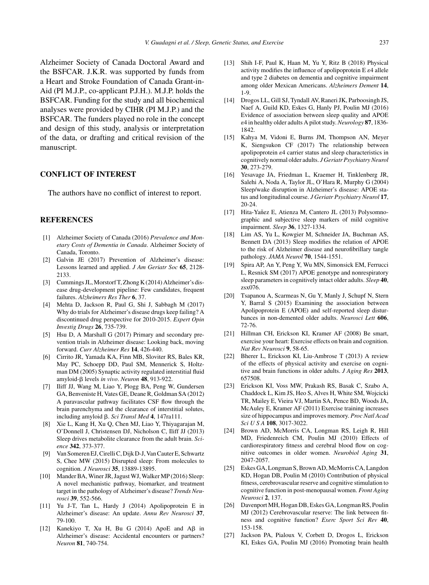Alzheimer Society of Canada Doctoral Award and the BSFCAR. J.K.R. was supported by funds from a Heart and Stroke Foundation of Canada Grant-in-Aid (PI M.J.P., co-applicant P.J.H.). M.J.P. holds the BSFCAR. Funding for the study and all biochemical analyses were provided by CIHR (PI M.J.P.) and the BSFCAR. The funders played no role in the concept and design of this study, analysis or interpretation of the data, or drafting and critical revision of the manuscript.

# **CONFLICT OF INTEREST**

The authors have no conflict of interest to report.

# **REFERENCES**

- [1] Alzheimer Society of Canada (2016) *Prevalence and Monetary Costs of Dementia in Canada*. Alzheimer Society of Canada, Toronto.
- [2] Galvin JE (2017) Prevention of Alzheimer's disease: Lessons learned and applied. *J Am Geriatr Soc* **65**, 2128- 2133.
- [3] Cummings JL, Morstorf T, Zhong K (2014) Alzheimer's disease drug-development pipeline: Few candidates, frequent failures. *Alzheimers Res Ther* **6**, 37.
- [4] Mehta D, Jackson R, Paul G, Shi J, Sabbagh M (2017) Why do trials for Alzheimer's disease drugs keep failing? A discontinued drug perspective for 2010-2015. *Expert Opin Investig Drugs* **26**, 735-739.
- [5] Hsu D, A Marshall G (2017) Primary and secondary prevention trials in Alzheimer disease: Looking back, moving forward. *Curr Alzheimer Res* **14**, 426-440.
- [6] Cirrito JR, Yamada KA, Finn MB, Sloviter RS, Bales KR, May PC, Schoepp DD, Paul SM, Mennerick S, Holtzman DM (2005) Synaptic activity regulated interstitial fluid amyloid-β levels *in vivo*. *Neuron* 48, 913-922.
- [7] Iliff JJ, Wang M, Liao Y, Plogg BA, Peng W, Gundersen GA, Benveniste H, Vates GE, Deane R, Goldman SA (2012) A paravascular pathway facilitates CSF flow through the brain parenchyma and the clearance of interstitial solutes, including amyloid . *Sci Transl Med* **4**, 147ra111.
- [8] Xie L, Kang H, Xu Q, Chen MJ, Liao Y, Thiyagarajan M, O'Donnell J, Christensen DJ, Nicholson C, Iliff JJ (2013) Sleep drives metabolite clearance from the adult brain. *Science* **342**, 373-377.
- [9] Van Someren EJ, Cirelli C, Dijk D-J, Van Cauter E, Schwartz S, Chee MW (2015) Disrupted sleep: From molecules to cognition. *J Neurosci* **35**, 13889-13895.
- [10] Mander BA, Winer JR, Jagust WJ, Walker MP (2016) Sleep: A novel mechanistic pathway, biomarker, and treatment target in the pathology of Alzheimer's disease? *Trends Neurosci* **39**, 552-566.
- [11] Yu J-T, Tan L, Hardy J (2014) Apolipoprotein E in Alzheimer's disease: An update. *Annu Rev Neurosci* **37**, 79-100.
- [12] Kanekiyo T, Xu H, Bu G  $(2014)$  ApoE and A $\beta$  in Alzheimer's disease: Accidental encounters or partners? *Neuron* **81**, 740-754.
- [13] Shih I-F, Paul K, Haan M, Yu Y, Ritz B (2018) Physical activity modifies the influence of apolipoprotein E  $\varepsilon$ 4 allele and type 2 diabetes on dementia and cognitive impairment among older Mexican Americans. *Alzheimers Dement* **14**, 1-9.
- [14] Drogos LL, Gill SJ, Tyndall AV, Raneri JK, Parboosingh JS, Naef A, Guild KD, Eskes G, Hanly PJ, Poulin MJ (2016) Evidence of association between sleep quality and APOE -4 in healthy older adults A pilot study. *Neurology* **87**, 1836- 1842.
- [15] Kahya M, Vidoni E, Burns JM, Thompson AN, Meyer K, Siengsukon CF (2017) The relationship between apolipoprotein  $\varepsilon$ 4 carrier status and sleep characteristics in cognitively normal older adults. *J Geriatr Psychiatry Neurol* **30**, 273-279.
- [16] Yesavage JA, Friedman L, Kraemer H, Tinklenberg JR, Salehi A, Noda A, Taylor JL, O'Hara R, Murphy G (2004) Sleep/wake disruption in Alzheimer's disease: APOE status and longitudinal course. *J Geriatr Psychiatry Neurol* **17**, 20-24.
- [17] Hita-Yañez E, Atienza M, Cantero JL (2013) Polysomnographic and subjective sleep markers of mild cognitive impairment. *Sleep* **36**, 1327-1334.
- [18] Lim AS, Yu L, Kowgier M, Schneider JA, Buchman AS, Bennett DA (2013) Sleep modifies the relation of APOE to the risk of Alzheimer disease and neurofibrillary tangle pathology. *JAMA Neurol* **70**, 1544-1551.
- [19] Spira AP, An Y, Peng Y, Wu MN, Simonsick EM, Ferrucci L, Resnick SM (2017) APOE genotype and nonrespiratory sleep parameters in cognitively intact older adults. *Sleep* **40**, zsx076.
- [20] Tsapanou A, Scarmeas N, Gu Y, Manly J, Schupf N, Stern Y, Barral S (2015) Examining the association between Apolipoprotein E (APOE) and self-reported sleep disturbances in non-demented older adults. *Neurosci Lett* **606**, 72-76.
- [21] Hillman CH, Erickson KI, Kramer AF (2008) Be smart, exercise your heart: Exercise effects on brain and cognition. *Nat Rev Neurosci* **9**, 58-65.
- [22] Bherer L, Erickson KI, Liu-Ambrose T (2013) A review of the effects of physical activity and exercise on cognitive and brain functions in older adults. *J Aging Res* **2013**, 657508.
- [23] Erickson KI, Voss MW, Prakash RS, Basak C, Szabo A, Chaddock L, Kim JS, Heo S, Alves H, White SM, Wojcicki TR, Mailey E, Vieira VJ, Martin SA, Pence BD, Woods JA, McAuley E, Kramer AF (2011) Exercise training increases size of hippocampus and improves memory. *Proc Natl Acad Sci U S A* **108**, 3017-3022.
- [24] Brown AD, McMorris CA, Longman RS, Leigh R, Hill MD, Friedenreich CM, Poulin MJ (2010) Effects of cardiorespiratory fitness and cerebral blood flow on cognitive outcomes in older women. *Neurobiol Aging* **31**, 2047-2057.
- [25] Eskes GA, Longman S, Brown AD, McMorris CA, Langdon KD, Hogan DB, Poulin M (2010) Contribution of physical fitness, cerebrovascular reserve and cognitive stimulation to cognitive function in post-menopausal women. *Front Aging Neurosci* **2**, 137.
- [26] Davenport MH, Hogan DB, Eskes GA, Longman RS, Poulin MJ (2012) Cerebrovascular reserve: The link between fitness and cognitive function? *Exerc Sport Sci Rev* **40**, 153-158.
- [27] Jackson PA, Pialoux V, Corbett D, Drogos L, Erickson KI, Eskes GA, Poulin MJ (2016) Promoting brain health